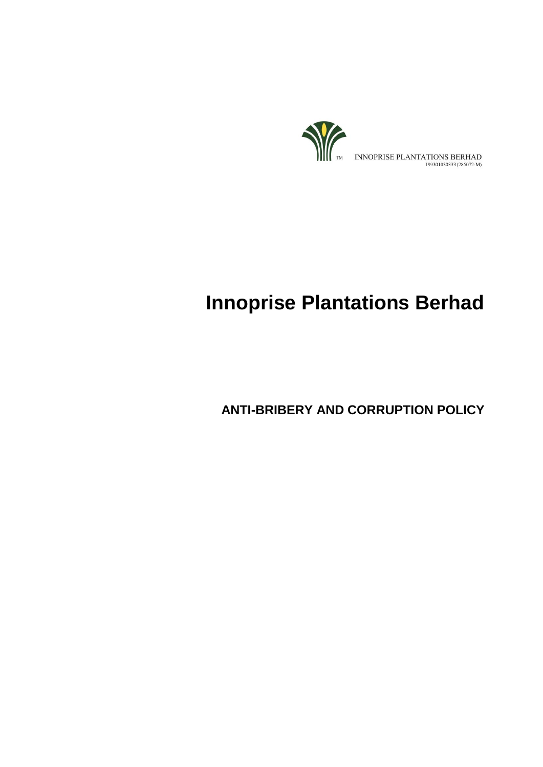

# **Innoprise Plantations Berhad**

**ANTI-BRIBERY AND CORRUPTION POLICY**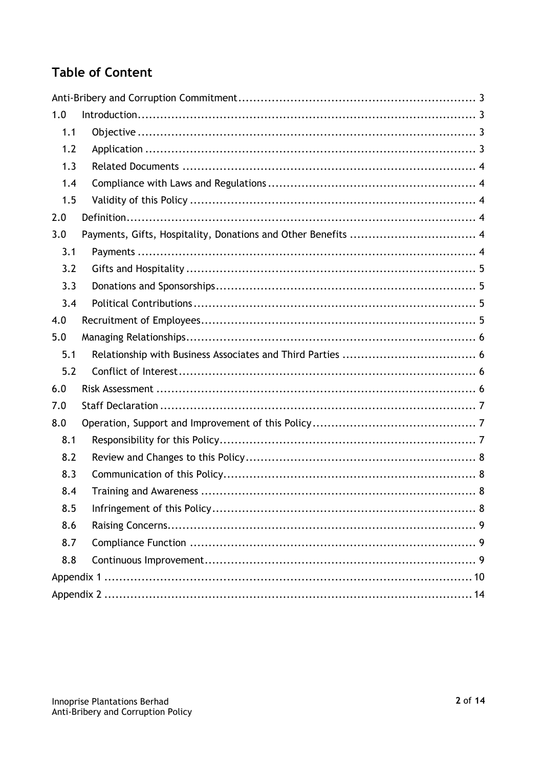# **Table of Content**

| 1.0 |  |  |  |
|-----|--|--|--|
| 1.1 |  |  |  |
| 1.2 |  |  |  |
| 1.3 |  |  |  |
| 1.4 |  |  |  |
| 1.5 |  |  |  |
| 2.0 |  |  |  |
| 3.0 |  |  |  |
| 3.1 |  |  |  |
| 3.2 |  |  |  |
| 3.3 |  |  |  |
| 3.4 |  |  |  |
| 4.0 |  |  |  |
| 5.0 |  |  |  |
| 5.1 |  |  |  |
| 5.2 |  |  |  |
| 6.0 |  |  |  |
| 7.0 |  |  |  |
| 8.0 |  |  |  |
| 8.1 |  |  |  |
| 8.2 |  |  |  |
| 8.3 |  |  |  |
| 8.4 |  |  |  |
| 8.5 |  |  |  |
| 8.6 |  |  |  |
| 8.7 |  |  |  |
| 8.8 |  |  |  |
|     |  |  |  |
|     |  |  |  |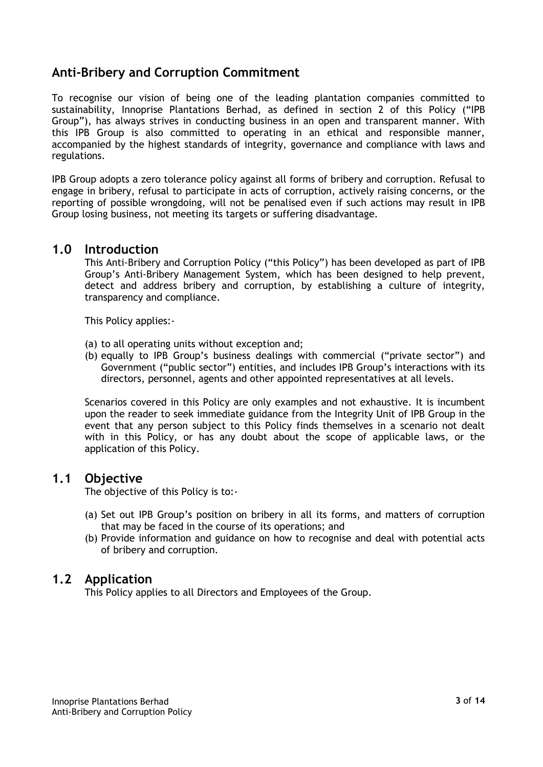# <span id="page-2-0"></span>**Anti-Bribery and Corruption Commitment**

To recognise our vision of being one of the leading plantation companies committed to sustainability, Innoprise Plantations Berhad, as defined in section 2 of this Policy ("IPB Group"), has always strives in conducting business in an open and transparent manner. With this IPB Group is also committed to operating in an ethical and responsible manner, accompanied by the highest standards of integrity, governance and compliance with laws and regulations.

IPB Group adopts a zero tolerance policy against all forms of bribery and corruption. Refusal to engage in bribery, refusal to participate in acts of corruption, actively raising concerns, or the reporting of possible wrongdoing, will not be penalised even if such actions may result in IPB Group losing business, not meeting its targets or suffering disadvantage.

#### <span id="page-2-1"></span>**1.0 Introduction**

This Anti-Bribery and Corruption Policy ("this Policy") has been developed as part of IPB Group's Anti-Bribery Management System, which has been designed to help prevent, detect and address bribery and corruption, by establishing a culture of integrity, transparency and compliance.

This Policy applies:-

- (a) to all operating units without exception and;
- (b) equally to IPB Group's business dealings with commercial ("private sector") and Government ("public sector") entities, and includes IPB Group's interactions with its directors, personnel, agents and other appointed representatives at all levels.

Scenarios covered in this Policy are only examples and not exhaustive. It is incumbent upon the reader to seek immediate guidance from the Integrity Unit of IPB Group in the event that any person subject to this Policy finds themselves in a scenario not dealt with in this Policy, or has any doubt about the scope of applicable laws, or the application of this Policy.

## <span id="page-2-2"></span>**1.1 Objective**

The objective of this Policy is to:-

- (a) Set out IPB Group's position on bribery in all its forms, and matters of corruption that may be faced in the course of its operations; and
- (b) Provide information and guidance on how to recognise and deal with potential acts of bribery and corruption.

#### <span id="page-2-3"></span>**1.2 Application**

This Policy applies to all Directors and Employees of the Group.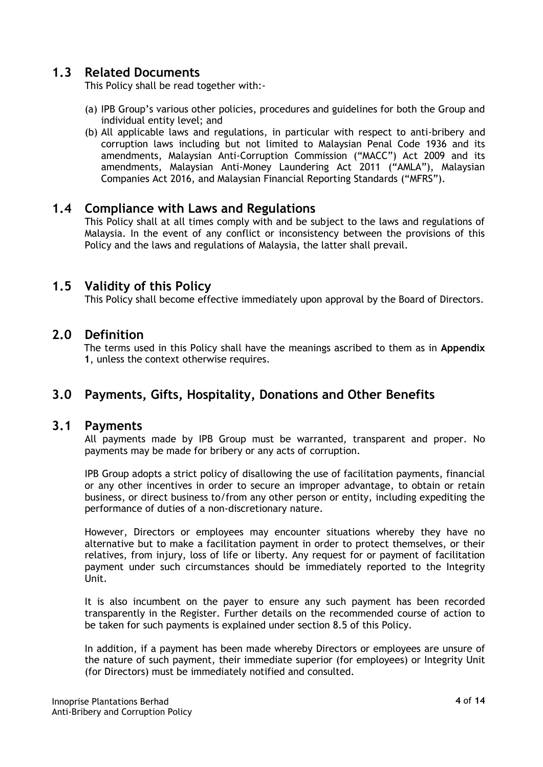# <span id="page-3-0"></span>**1.3 Related Documents**

This Policy shall be read together with:-

- (a) IPB Group's various other policies, procedures and guidelines for both the Group and individual entity level; and
- (b) All applicable laws and regulations, in particular with respect to anti-bribery and corruption laws including but not limited to Malaysian Penal Code 1936 and its amendments, Malaysian Anti-Corruption Commission ("MACC") Act 2009 and its amendments, Malaysian Anti-Money Laundering Act 2011 ("AMLA"), Malaysian Companies Act 2016, and Malaysian Financial Reporting Standards ("MFRS").

#### <span id="page-3-1"></span>**1.4 Compliance with Laws and Regulations**

This Policy shall at all times comply with and be subject to the laws and regulations of Malaysia. In the event of any conflict or inconsistency between the provisions of this Policy and the laws and regulations of Malaysia, the latter shall prevail.

#### <span id="page-3-2"></span>**1.5 Validity of this Policy**

This Policy shall become effective immediately upon approval by the Board of Directors.

#### <span id="page-3-3"></span>**2.0 Definition**

The terms used in this Policy shall have the meanings ascribed to them as in **Appendix 1**, unless the context otherwise requires.

# <span id="page-3-5"></span><span id="page-3-4"></span>**3.0 Payments, Gifts, Hospitality, Donations and Other Benefits**

#### **3.1 Payments**

All payments made by IPB Group must be warranted, transparent and proper. No payments may be made for bribery or any acts of corruption.

IPB Group adopts a strict policy of disallowing the use of facilitation payments, financial or any other incentives in order to secure an improper advantage, to obtain or retain business, or direct business to/from any other person or entity, including expediting the performance of duties of a non-discretionary nature.

However, Directors or employees may encounter situations whereby they have no alternative but to make a facilitation payment in order to protect themselves, or their relatives, from injury, loss of life or liberty. Any request for or payment of facilitation payment under such circumstances should be immediately reported to the Integrity Unit.

It is also incumbent on the payer to ensure any such payment has been recorded transparently in the Register. Further details on the recommended course of action to be taken for such payments is explained under section 8.5 of this Policy.

In addition, if a payment has been made whereby Directors or employees are unsure of the nature of such payment, their immediate superior (for employees) or Integrity Unit (for Directors) must be immediately notified and consulted.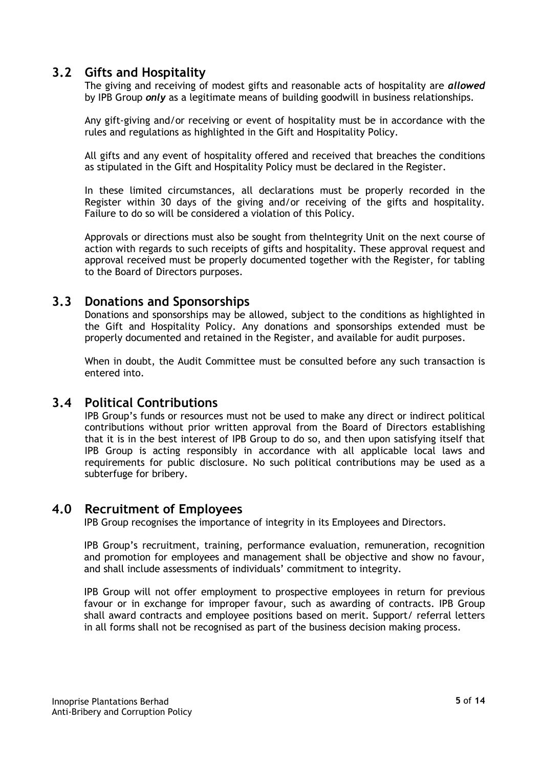# <span id="page-4-0"></span>**3.2 Gifts and Hospitality**

The giving and receiving of modest gifts and reasonable acts of hospitality are *allowed* by IPB Group *only* as a legitimate means of building goodwill in business relationships.

Any gift-giving and/or receiving or event of hospitality must be in accordance with the rules and regulations as highlighted in the Gift and Hospitality Policy.

All gifts and any event of hospitality offered and received that breaches the conditions as stipulated in the Gift and Hospitality Policy must be declared in the Register.

In these limited circumstances, all declarations must be properly recorded in the Register within 30 days of the giving and/or receiving of the gifts and hospitality. Failure to do so will be considered a violation of this Policy.

Approvals or directions must also be sought from theIntegrity Unit on the next course of action with regards to such receipts of gifts and hospitality. These approval request and approval received must be properly documented together with the Register, for tabling to the Board of Directors purposes.

#### <span id="page-4-1"></span>**3.3 Donations and Sponsorships**

Donations and sponsorships may be allowed, subject to the conditions as highlighted in the Gift and Hospitality Policy. Any donations and sponsorships extended must be properly documented and retained in the Register, and available for audit purposes.

When in doubt, the Audit Committee must be consulted before any such transaction is entered into.

#### <span id="page-4-2"></span>**3.4 Political Contributions**

IPB Group's funds or resources must not be used to make any direct or indirect political contributions without prior written approval from the Board of Directors establishing that it is in the best interest of IPB Group to do so, and then upon satisfying itself that IPB Group is acting responsibly in accordance with all applicable local laws and requirements for public disclosure. No such political contributions may be used as a subterfuge for bribery.

#### <span id="page-4-3"></span>**4.0 Recruitment of Employees**

IPB Group recognises the importance of integrity in its Employees and Directors.

IPB Group's recruitment, training, performance evaluation, remuneration, recognition and promotion for employees and management shall be objective and show no favour, and shall include assessments of individuals' commitment to integrity.

IPB Group will not offer employment to prospective employees in return for previous favour or in exchange for improper favour, such as awarding of contracts. IPB Group shall award contracts and employee positions based on merit. Support/ referral letters in all forms shall not be recognised as part of the business decision making process.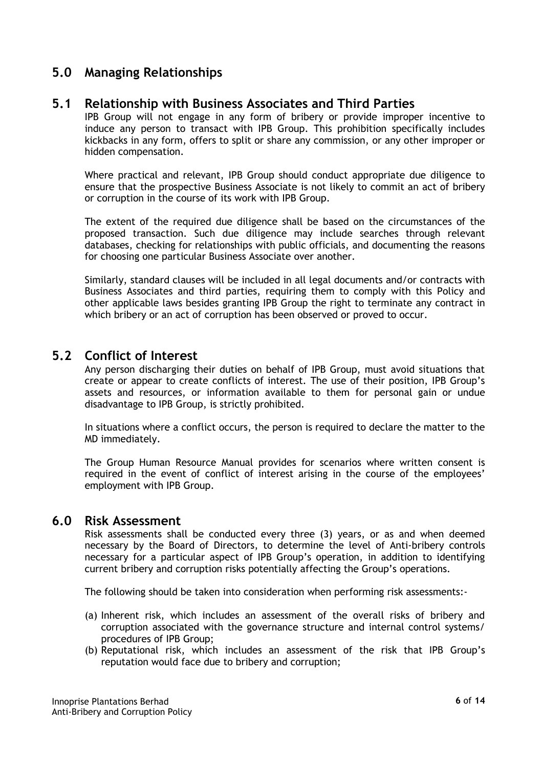# <span id="page-5-1"></span><span id="page-5-0"></span>**5.0 Managing Relationships**

#### **5.1 Relationship with Business Associates and Third Parties**

IPB Group will not engage in any form of bribery or provide improper incentive to induce any person to transact with IPB Group. This prohibition specifically includes kickbacks in any form, offers to split or share any commission, or any other improper or hidden compensation.

Where practical and relevant, IPB Group should conduct appropriate due diligence to ensure that the prospective Business Associate is not likely to commit an act of bribery or corruption in the course of its work with IPB Group.

The extent of the required due diligence shall be based on the circumstances of the proposed transaction. Such due diligence may include searches through relevant databases, checking for relationships with public officials, and documenting the reasons for choosing one particular Business Associate over another.

Similarly, standard clauses will be included in all legal documents and/or contracts with Business Associates and third parties, requiring them to comply with this Policy and other applicable laws besides granting IPB Group the right to terminate any contract in which bribery or an act of corruption has been observed or proved to occur.

## <span id="page-5-2"></span>**5.2 Conflict of Interest**

Any person discharging their duties on behalf of IPB Group, must avoid situations that create or appear to create conflicts of interest. The use of their position, IPB Group's assets and resources, or information available to them for personal gain or undue disadvantage to IPB Group, is strictly prohibited.

In situations where a conflict occurs, the person is required to declare the matter to the MD immediately.

The Group Human Resource Manual provides for scenarios where written consent is required in the event of conflict of interest arising in the course of the employees' employment with IPB Group.

#### <span id="page-5-3"></span>**6.0 Risk Assessment**

Risk assessments shall be conducted every three (3) years, or as and when deemed necessary by the Board of Directors, to determine the level of Anti-bribery controls necessary for a particular aspect of IPB Group's operation, in addition to identifying current bribery and corruption risks potentially affecting the Group's operations.

The following should be taken into consideration when performing risk assessments:-

- (a) Inherent risk, which includes an assessment of the overall risks of bribery and corruption associated with the governance structure and internal control systems/ procedures of IPB Group;
- (b) Reputational risk, which includes an assessment of the risk that IPB Group's reputation would face due to bribery and corruption;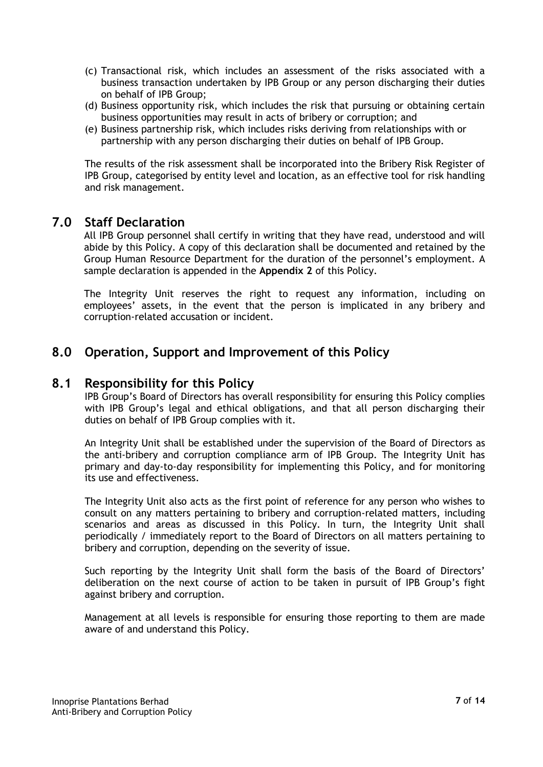- (c) Transactional risk, which includes an assessment of the risks associated with a business transaction undertaken by IPB Group or any person discharging their duties on behalf of IPB Group;
- (d) Business opportunity risk, which includes the risk that pursuing or obtaining certain business opportunities may result in acts of bribery or corruption; and
- (e) Business partnership risk, which includes risks deriving from relationships with or partnership with any person discharging their duties on behalf of IPB Group.

The results of the risk assessment shall be incorporated into the Bribery Risk Register of IPB Group, categorised by entity level and location, as an effective tool for risk handling and risk management.

#### <span id="page-6-0"></span>**7.0 Staff Declaration**

All IPB Group personnel shall certify in writing that they have read, understood and will abide by this Policy. A copy of this declaration shall be documented and retained by the Group Human Resource Department for the duration of the personnel's employment. A sample declaration is appended in the **Appendix 2** of this Policy.

The Integrity Unit reserves the right to request any information, including on employees' assets, in the event that the person is implicated in any bribery and corruption-related accusation or incident.

# <span id="page-6-2"></span><span id="page-6-1"></span>**8.0 Operation, Support and Improvement of this Policy**

#### **8.1 Responsibility for this Policy**

IPB Group's Board of Directors has overall responsibility for ensuring this Policy complies with IPB Group's legal and ethical obligations, and that all person discharging their duties on behalf of IPB Group complies with it.

An Integrity Unit shall be established under the supervision of the Board of Directors as the anti-bribery and corruption compliance arm of IPB Group. The Integrity Unit has primary and day-to-day responsibility for implementing this Policy, and for monitoring its use and effectiveness.

The Integrity Unit also acts as the first point of reference for any person who wishes to consult on any matters pertaining to bribery and corruption-related matters, including scenarios and areas as discussed in this Policy. In turn, the Integrity Unit shall periodically / immediately report to the Board of Directors on all matters pertaining to bribery and corruption, depending on the severity of issue.

Such reporting by the Integrity Unit shall form the basis of the Board of Directors' deliberation on the next course of action to be taken in pursuit of IPB Group's fight against bribery and corruption.

Management at all levels is responsible for ensuring those reporting to them are made aware of and understand this Policy.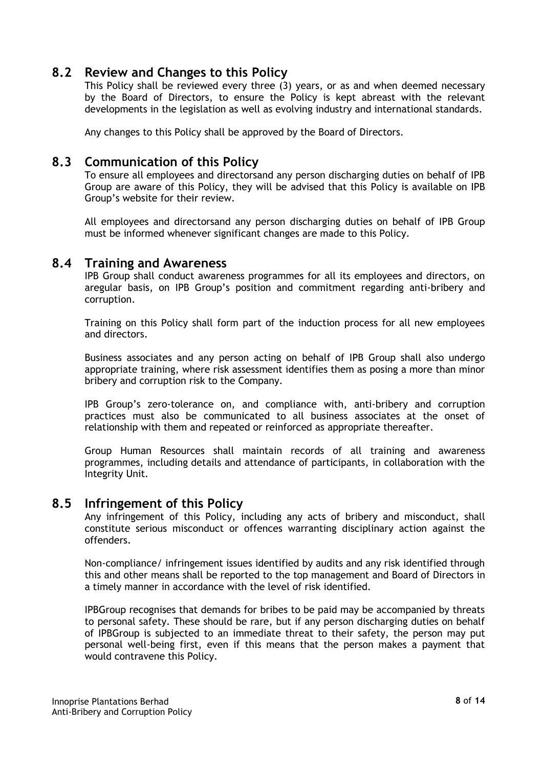# <span id="page-7-0"></span>**8.2 Review and Changes to this Policy**

This Policy shall be reviewed every three (3) years, or as and when deemed necessary by the Board of Directors, to ensure the Policy is kept abreast with the relevant developments in the legislation as well as evolving industry and international standards.

Any changes to this Policy shall be approved by the Board of Directors.

#### <span id="page-7-1"></span>**8.3 Communication of this Policy**

To ensure all employees and directorsand any person discharging duties on behalf of IPB Group are aware of this Policy, they will be advised that this Policy is available on IPB Group's website for their review.

All employees and directorsand any person discharging duties on behalf of IPB Group must be informed whenever significant changes are made to this Policy.

#### <span id="page-7-2"></span>**8.4 Training and Awareness**

IPB Group shall conduct awareness programmes for all its employees and directors, on aregular basis, on IPB Group's position and commitment regarding anti-bribery and corruption.

Training on this Policy shall form part of the induction process for all new employees and directors.

Business associates and any person acting on behalf of IPB Group shall also undergo appropriate training, where risk assessment identifies them as posing a more than minor bribery and corruption risk to the Company.

IPB Group's zero-tolerance on, and compliance with, anti-bribery and corruption practices must also be communicated to all business associates at the onset of relationship with them and repeated or reinforced as appropriate thereafter.

Group Human Resources shall maintain records of all training and awareness programmes, including details and attendance of participants, in collaboration with the Integrity Unit.

#### <span id="page-7-3"></span>**8.5 Infringement of this Policy**

Any infringement of this Policy, including any acts of bribery and misconduct, shall constitute serious misconduct or offences warranting disciplinary action against the offenders.

Non-compliance/ infringement issues identified by audits and any risk identified through this and other means shall be reported to the top management and Board of Directors in a timely manner in accordance with the level of risk identified.

IPBGroup recognises that demands for bribes to be paid may be accompanied by threats to personal safety. These should be rare, but if any person discharging duties on behalf of IPBGroup is subjected to an immediate threat to their safety, the person may put personal well-being first, even if this means that the person makes a payment that would contravene this Policy.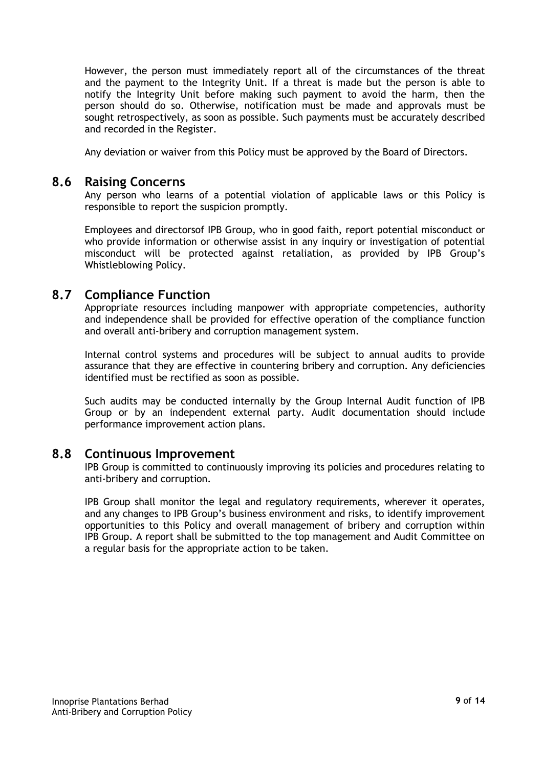However, the person must immediately report all of the circumstances of the threat and the payment to the Integrity Unit. If a threat is made but the person is able to notify the Integrity Unit before making such payment to avoid the harm, then the person should do so. Otherwise, notification must be made and approvals must be sought retrospectively, as soon as possible. Such payments must be accurately described and recorded in the Register.

Any deviation or waiver from this Policy must be approved by the Board of Directors.

#### <span id="page-8-0"></span>**8.6 Raising Concerns**

Any person who learns of a potential violation of applicable laws or this Policy is responsible to report the suspicion promptly.

Employees and directorsof IPB Group, who in good faith, report potential misconduct or who provide information or otherwise assist in any inquiry or investigation of potential misconduct will be protected against retaliation, as provided by IPB Group's Whistleblowing Policy.

# <span id="page-8-1"></span>**8.7 Compliance Function**

Appropriate resources including manpower with appropriate competencies, authority and independence shall be provided for effective operation of the compliance function and overall anti-bribery and corruption management system.

Internal control systems and procedures will be subject to annual audits to provide assurance that they are effective in countering bribery and corruption. Any deficiencies identified must be rectified as soon as possible.

Such audits may be conducted internally by the Group Internal Audit function of IPB Group or by an independent external party. Audit documentation should include performance improvement action plans.

#### <span id="page-8-2"></span>**8.8 Continuous Improvement**

IPB Group is committed to continuously improving its policies and procedures relating to anti-bribery and corruption.

IPB Group shall monitor the legal and regulatory requirements, wherever it operates, and any changes to IPB Group's business environment and risks, to identify improvement opportunities to this Policy and overall management of bribery and corruption within IPB Group. A report shall be submitted to the top management and Audit Committee on a regular basis for the appropriate action to be taken.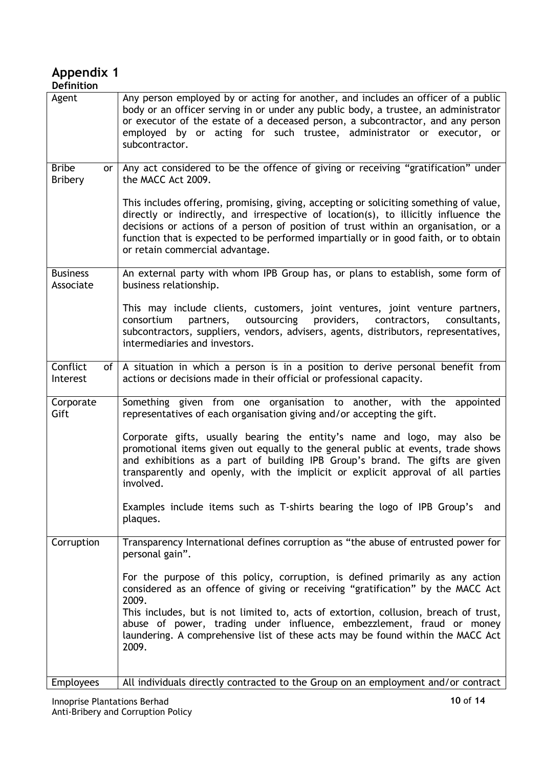#### <span id="page-9-0"></span>**Appendix 1 Definition**

| Agent                                       | Any person employed by or acting for another, and includes an officer of a public<br>body or an officer serving in or under any public body, a trustee, an administrator<br>or executor of the estate of a deceased person, a subcontractor, and any person<br>employed by or acting for such trustee, administrator or executor, or<br>subcontractor.                                                                                  |
|---------------------------------------------|-----------------------------------------------------------------------------------------------------------------------------------------------------------------------------------------------------------------------------------------------------------------------------------------------------------------------------------------------------------------------------------------------------------------------------------------|
| <b>Bribe</b><br><b>or</b><br><b>Bribery</b> | Any act considered to be the offence of giving or receiving "gratification" under<br>the MACC Act 2009.                                                                                                                                                                                                                                                                                                                                 |
|                                             | This includes offering, promising, giving, accepting or soliciting something of value,<br>directly or indirectly, and irrespective of location(s), to illicitly influence the<br>decisions or actions of a person of position of trust within an organisation, or a<br>function that is expected to be performed impartially or in good faith, or to obtain<br>or retain commercial advantage.                                          |
| <b>Business</b><br>Associate                | An external party with whom IPB Group has, or plans to establish, some form of<br>business relationship.                                                                                                                                                                                                                                                                                                                                |
|                                             | This may include clients, customers, joint ventures, joint venture partners,<br>outsourcing<br>consortium<br>partners,<br>providers,<br>contractors,<br>consultants,<br>subcontractors, suppliers, vendors, advisers, agents, distributors, representatives,<br>intermediaries and investors.                                                                                                                                           |
| Conflict<br>of<br>Interest                  | A situation in which a person is in a position to derive personal benefit from<br>actions or decisions made in their official or professional capacity.                                                                                                                                                                                                                                                                                 |
| Corporate<br>Gift                           | Something given from one organisation to another, with the appointed<br>representatives of each organisation giving and/or accepting the gift.                                                                                                                                                                                                                                                                                          |
|                                             | Corporate gifts, usually bearing the entity's name and logo, may also be<br>promotional items given out equally to the general public at events, trade shows<br>and exhibitions as a part of building IPB Group's brand. The gifts are given<br>transparently and openly, with the implicit or explicit approval of all parties<br>involved.                                                                                            |
|                                             | Examples include items such as T-shirts bearing the logo of IPB Group's<br>and<br>plaques.                                                                                                                                                                                                                                                                                                                                              |
| Corruption                                  | Transparency International defines corruption as "the abuse of entrusted power for<br>personal gain".                                                                                                                                                                                                                                                                                                                                   |
|                                             | For the purpose of this policy, corruption, is defined primarily as any action<br>considered as an offence of giving or receiving "gratification" by the MACC Act<br>2009.<br>This includes, but is not limited to, acts of extortion, collusion, breach of trust,<br>abuse of power, trading under influence, embezzlement, fraud or money<br>laundering. A comprehensive list of these acts may be found within the MACC Act<br>2009. |
| <b>Employees</b>                            | All individuals directly contracted to the Group on an employment and/or contract                                                                                                                                                                                                                                                                                                                                                       |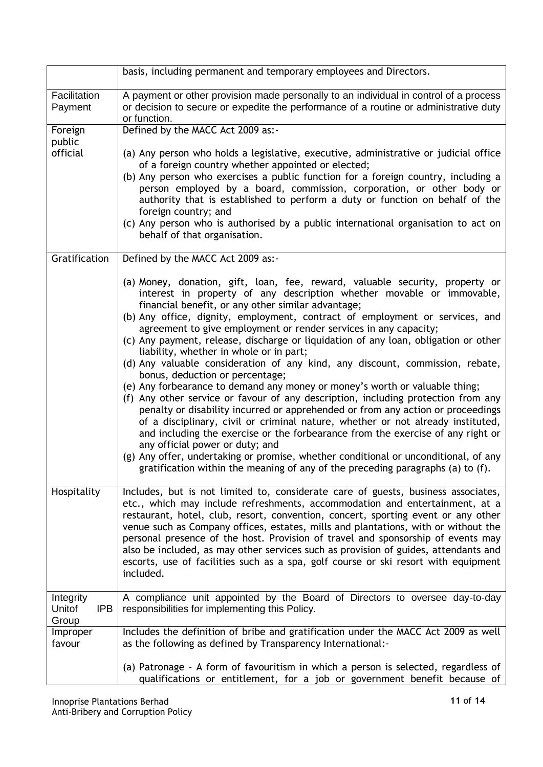|                                            | basis, including permanent and temporary employees and Directors.                                                                                                                                                                                                                                                                                                                                                                                                                                                                                                                                                                                                                                                                                                                                                                                                                                                                                                                                                                                                                                                                                                                                                                                                  |
|--------------------------------------------|--------------------------------------------------------------------------------------------------------------------------------------------------------------------------------------------------------------------------------------------------------------------------------------------------------------------------------------------------------------------------------------------------------------------------------------------------------------------------------------------------------------------------------------------------------------------------------------------------------------------------------------------------------------------------------------------------------------------------------------------------------------------------------------------------------------------------------------------------------------------------------------------------------------------------------------------------------------------------------------------------------------------------------------------------------------------------------------------------------------------------------------------------------------------------------------------------------------------------------------------------------------------|
| Facilitation<br>Payment                    | A payment or other provision made personally to an individual in control of a process<br>or decision to secure or expedite the performance of a routine or administrative duty<br>or function.                                                                                                                                                                                                                                                                                                                                                                                                                                                                                                                                                                                                                                                                                                                                                                                                                                                                                                                                                                                                                                                                     |
| Foreign                                    | Defined by the MACC Act 2009 as:-                                                                                                                                                                                                                                                                                                                                                                                                                                                                                                                                                                                                                                                                                                                                                                                                                                                                                                                                                                                                                                                                                                                                                                                                                                  |
| public<br>official                         | (a) Any person who holds a legislative, executive, administrative or judicial office<br>of a foreign country whether appointed or elected;<br>(b) Any person who exercises a public function for a foreign country, including a<br>person employed by a board, commission, corporation, or other body or<br>authority that is established to perform a duty or function on behalf of the<br>foreign country; and<br>(c) Any person who is authorised by a public international organisation to act on<br>behalf of that organisation.                                                                                                                                                                                                                                                                                                                                                                                                                                                                                                                                                                                                                                                                                                                              |
| Gratification                              | Defined by the MACC Act 2009 as:-                                                                                                                                                                                                                                                                                                                                                                                                                                                                                                                                                                                                                                                                                                                                                                                                                                                                                                                                                                                                                                                                                                                                                                                                                                  |
|                                            | (a) Money, donation, gift, loan, fee, reward, valuable security, property or<br>interest in property of any description whether movable or immovable,<br>financial benefit, or any other similar advantage;<br>(b) Any office, dignity, employment, contract of employment or services, and<br>agreement to give employment or render services in any capacity;<br>(c) Any payment, release, discharge or liquidation of any loan, obligation or other<br>liability, whether in whole or in part;<br>(d) Any valuable consideration of any kind, any discount, commission, rebate,<br>bonus, deduction or percentage;<br>(e) Any forbearance to demand any money or money's worth or valuable thing;<br>(f) Any other service or favour of any description, including protection from any<br>penalty or disability incurred or apprehended or from any action or proceedings<br>of a disciplinary, civil or criminal nature, whether or not already instituted,<br>and including the exercise or the forbearance from the exercise of any right or<br>any official power or duty; and<br>(g) Any offer, undertaking or promise, whether conditional or unconditional, of any<br>gratification within the meaning of any of the preceding paragraphs (a) to $(f)$ . |
| Hospitality                                | Includes, but is not limited to, considerate care of guests, business associates,<br>etc., which may include refreshments, accommodation and entertainment, at a<br>restaurant, hotel, club, resort, convention, concert, sporting event or any other<br>venue such as Company offices, estates, mills and plantations, with or without the<br>personal presence of the host. Provision of travel and sponsorship of events may<br>also be included, as may other services such as provision of guides, attendants and<br>escorts, use of facilities such as a spa, golf course or ski resort with equipment<br>included.                                                                                                                                                                                                                                                                                                                                                                                                                                                                                                                                                                                                                                          |
| Integrity<br>Unitof<br><b>IPB</b><br>Group | A compliance unit appointed by the Board of Directors to oversee day-to-day<br>responsibilities for implementing this Policy.                                                                                                                                                                                                                                                                                                                                                                                                                                                                                                                                                                                                                                                                                                                                                                                                                                                                                                                                                                                                                                                                                                                                      |
| Improper<br>favour                         | Includes the definition of bribe and gratification under the MACC Act 2009 as well<br>as the following as defined by Transparency International:-                                                                                                                                                                                                                                                                                                                                                                                                                                                                                                                                                                                                                                                                                                                                                                                                                                                                                                                                                                                                                                                                                                                  |
|                                            | (a) Patronage - A form of favouritism in which a person is selected, regardless of<br>qualifications or entitlement, for a job or government benefit because of                                                                                                                                                                                                                                                                                                                                                                                                                                                                                                                                                                                                                                                                                                                                                                                                                                                                                                                                                                                                                                                                                                    |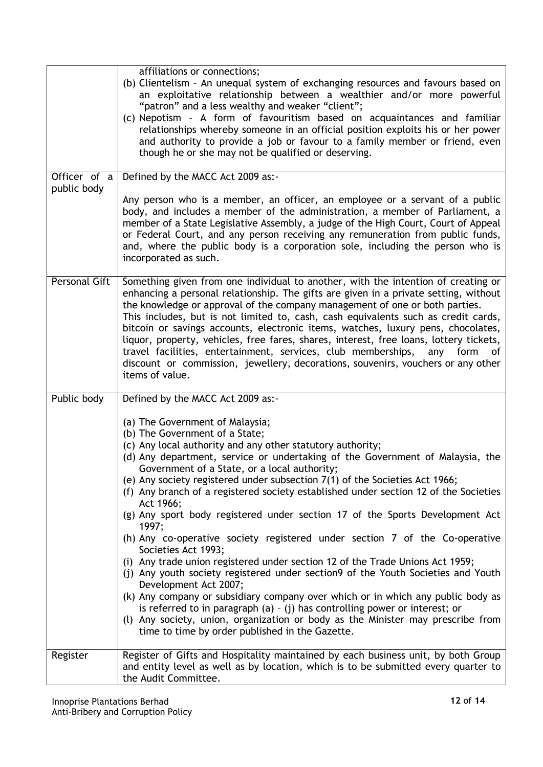|                             | affiliations or connections;                                                                                                                                                                                                                                                                                                                                                                                                                                                                                                                                                                                                                                                                                              |
|-----------------------------|---------------------------------------------------------------------------------------------------------------------------------------------------------------------------------------------------------------------------------------------------------------------------------------------------------------------------------------------------------------------------------------------------------------------------------------------------------------------------------------------------------------------------------------------------------------------------------------------------------------------------------------------------------------------------------------------------------------------------|
|                             | (b) Clientelism - An unequal system of exchanging resources and favours based on<br>an exploitative relationship between a wealthier and/or more powerful<br>"patron" and a less wealthy and weaker "client";                                                                                                                                                                                                                                                                                                                                                                                                                                                                                                             |
|                             | (c) Nepotism - A form of favouritism based on acquaintances and familiar<br>relationships whereby someone in an official position exploits his or her power<br>and authority to provide a job or favour to a family member or friend, even<br>though he or she may not be qualified or deserving.                                                                                                                                                                                                                                                                                                                                                                                                                         |
|                             |                                                                                                                                                                                                                                                                                                                                                                                                                                                                                                                                                                                                                                                                                                                           |
| Officer of a<br>public body | Defined by the MACC Act 2009 as:-                                                                                                                                                                                                                                                                                                                                                                                                                                                                                                                                                                                                                                                                                         |
|                             | Any person who is a member, an officer, an employee or a servant of a public<br>body, and includes a member of the administration, a member of Parliament, a<br>member of a State Legislative Assembly, a judge of the High Court, Court of Appeal<br>or Federal Court, and any person receiving any remuneration from public funds,<br>and, where the public body is a corporation sole, including the person who is<br>incorporated as such.                                                                                                                                                                                                                                                                            |
| Personal Gift               | Something given from one individual to another, with the intention of creating or<br>enhancing a personal relationship. The gifts are given in a private setting, without<br>the knowledge or approval of the company management of one or both parties.<br>This includes, but is not limited to, cash, cash equivalents such as credit cards,<br>bitcoin or savings accounts, electronic items, watches, luxury pens, chocolates,<br>liquor, property, vehicles, free fares, shares, interest, free loans, lottery tickets,<br>travel facilities, entertainment, services, club memberships,<br>any<br>form<br>of<br>discount or commission, jewellery, decorations, souvenirs, vouchers or any other<br>items of value. |
| Public body                 | Defined by the MACC Act 2009 as:-                                                                                                                                                                                                                                                                                                                                                                                                                                                                                                                                                                                                                                                                                         |
|                             | (a) The Government of Malaysia;<br>(b) The Government of a State;<br>(c) Any local authority and any other statutory authority;<br>(d) Any department, service or undertaking of the Government of Malaysia, the<br>Government of a State, or a local authority;<br>(e) Any society registered under subsection 7(1) of the Societies Act 1966;                                                                                                                                                                                                                                                                                                                                                                           |
|                             | (f) Any branch of a registered society established under section 12 of the Societies<br>Act 1966;                                                                                                                                                                                                                                                                                                                                                                                                                                                                                                                                                                                                                         |
|                             | (g) Any sport body registered under section 17 of the Sports Development Act<br>1997;                                                                                                                                                                                                                                                                                                                                                                                                                                                                                                                                                                                                                                     |
|                             | (h) Any co-operative society registered under section 7 of the Co-operative<br>Societies Act 1993;                                                                                                                                                                                                                                                                                                                                                                                                                                                                                                                                                                                                                        |
|                             | (i) Any trade union registered under section 12 of the Trade Unions Act 1959;<br>(j) Any youth society registered under section9 of the Youth Societies and Youth<br>Development Act 2007;                                                                                                                                                                                                                                                                                                                                                                                                                                                                                                                                |
|                             | (k) Any company or subsidiary company over which or in which any public body as<br>is referred to in paragraph (a) $-$ (j) has controlling power or interest; or<br>(l) Any society, union, organization or body as the Minister may prescribe from<br>time to time by order published in the Gazette.                                                                                                                                                                                                                                                                                                                                                                                                                    |
| Register                    | Register of Gifts and Hospitality maintained by each business unit, by both Group<br>and entity level as well as by location, which is to be submitted every quarter to<br>the Audit Committee.                                                                                                                                                                                                                                                                                                                                                                                                                                                                                                                           |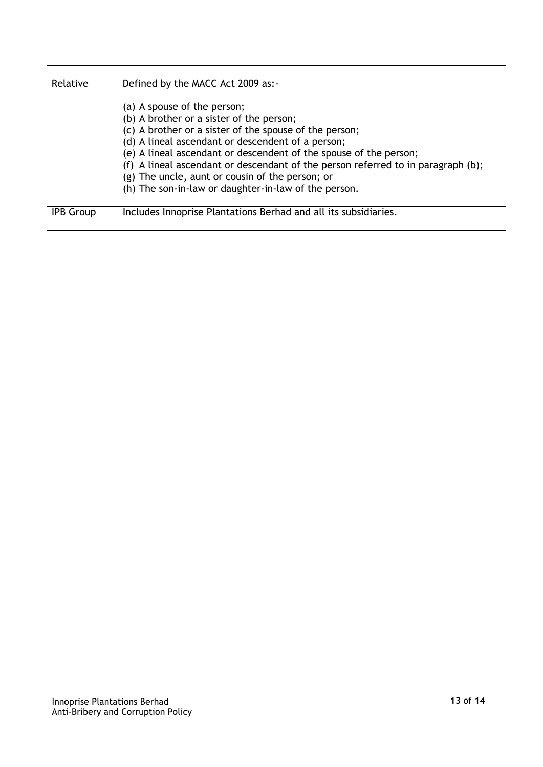| Relative         | Defined by the MACC Act 2009 as:-                                                |
|------------------|----------------------------------------------------------------------------------|
|                  | (a) A spouse of the person;                                                      |
|                  | (b) A brother or a sister of the person;                                         |
|                  | (c) A brother or a sister of the spouse of the person;                           |
|                  | (d) A lineal ascendant or descendent of a person;                                |
|                  | (e) A lineal ascendant or descendent of the spouse of the person;                |
|                  | (f) A lineal ascendant or descendant of the person referred to in paragraph (b); |
|                  | (g) The uncle, aunt or cousin of the person; or                                  |
|                  | (h) The son-in-law or daughter-in-law of the person.                             |
| <b>IPB Group</b> | Includes Innoprise Plantations Berhad and all its subsidiaries.                  |
|                  |                                                                                  |